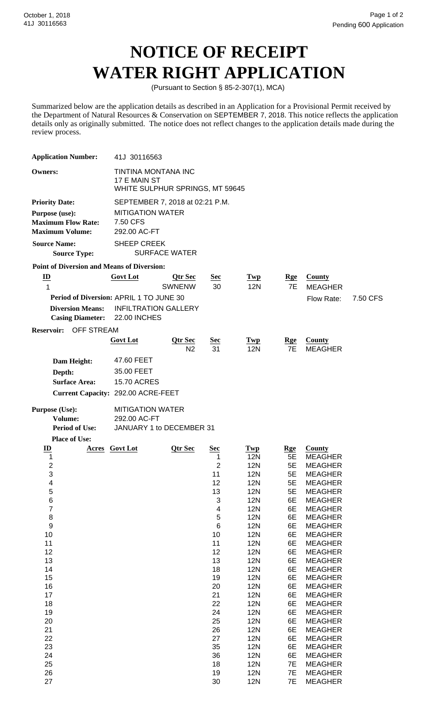## **NOTICE OF RECEIPT WATER RIGHT APPLICATION**

(Pursuant to Section § 85-2-307(1), MCA)

Summarized below are the application details as described in an Application for a Provisional Permit received by the Department of Natural Resources & Conservation on SEPTEMBER 7, 2018. This notice reflects the application details only as originally submitted. The notice does not reflect changes to the application details made during the review process.

| <b>Application Number:</b>                                                                                                                                                                                | 41J 30116563                                                           |                           |                                                                                                                                                                                |                                                                                                                                                                                                                                                                                                                                                                                 |                                                                                                                                                                        |                                                                                                                                                                                                                                                                                                                                                                                                                                                                                            |          |  |  |  |  |  |
|-----------------------------------------------------------------------------------------------------------------------------------------------------------------------------------------------------------|------------------------------------------------------------------------|---------------------------|--------------------------------------------------------------------------------------------------------------------------------------------------------------------------------|---------------------------------------------------------------------------------------------------------------------------------------------------------------------------------------------------------------------------------------------------------------------------------------------------------------------------------------------------------------------------------|------------------------------------------------------------------------------------------------------------------------------------------------------------------------|--------------------------------------------------------------------------------------------------------------------------------------------------------------------------------------------------------------------------------------------------------------------------------------------------------------------------------------------------------------------------------------------------------------------------------------------------------------------------------------------|----------|--|--|--|--|--|
| <b>Owners:</b>                                                                                                                                                                                            | TINTINA MONTANA INC<br>17 E MAIN ST<br>WHITE SULPHUR SPRINGS, MT 59645 |                           |                                                                                                                                                                                |                                                                                                                                                                                                                                                                                                                                                                                 |                                                                                                                                                                        |                                                                                                                                                                                                                                                                                                                                                                                                                                                                                            |          |  |  |  |  |  |
| <b>Priority Date:</b>                                                                                                                                                                                     | SEPTEMBER 7, 2018 at 02:21 P.M.                                        |                           |                                                                                                                                                                                |                                                                                                                                                                                                                                                                                                                                                                                 |                                                                                                                                                                        |                                                                                                                                                                                                                                                                                                                                                                                                                                                                                            |          |  |  |  |  |  |
| Purpose (use):<br><b>Maximum Flow Rate:</b><br><b>Maximum Volume:</b>                                                                                                                                     | <b>MITIGATION WATER</b><br>7.50 CFS<br>292.00 AC-FT                    |                           |                                                                                                                                                                                |                                                                                                                                                                                                                                                                                                                                                                                 |                                                                                                                                                                        |                                                                                                                                                                                                                                                                                                                                                                                                                                                                                            |          |  |  |  |  |  |
| <b>Source Name:</b><br><b>Source Type:</b>                                                                                                                                                                | <b>SHEEP CREEK</b>                                                     | <b>SURFACE WATER</b>      |                                                                                                                                                                                |                                                                                                                                                                                                                                                                                                                                                                                 |                                                                                                                                                                        |                                                                                                                                                                                                                                                                                                                                                                                                                                                                                            |          |  |  |  |  |  |
| <b>Point of Diversion and Means of Diversion:</b>                                                                                                                                                         |                                                                        |                           |                                                                                                                                                                                |                                                                                                                                                                                                                                                                                                                                                                                 |                                                                                                                                                                        |                                                                                                                                                                                                                                                                                                                                                                                                                                                                                            |          |  |  |  |  |  |
| $\underline{\mathbf{ID}}$                                                                                                                                                                                 | <b>Govt Lot</b>                                                        | Qtr Sec                   | <u>Sec</u>                                                                                                                                                                     | Twp                                                                                                                                                                                                                                                                                                                                                                             | <b>Rge</b>                                                                                                                                                             | <b>County</b>                                                                                                                                                                                                                                                                                                                                                                                                                                                                              |          |  |  |  |  |  |
| $\mathbf{1}$                                                                                                                                                                                              |                                                                        | <b>SWNENW</b>             | 30                                                                                                                                                                             | <b>12N</b>                                                                                                                                                                                                                                                                                                                                                                      | 7E                                                                                                                                                                     | <b>MEAGHER</b>                                                                                                                                                                                                                                                                                                                                                                                                                                                                             |          |  |  |  |  |  |
| Period of Diversion: APRIL 1 TO JUNE 30<br><b>Diversion Means:</b><br><b>Casing Diameter:</b>                                                                                                             | <b>INFILTRATION GALLERY</b><br><b>22.00 INCHES</b>                     |                           |                                                                                                                                                                                |                                                                                                                                                                                                                                                                                                                                                                                 |                                                                                                                                                                        | Flow Rate:                                                                                                                                                                                                                                                                                                                                                                                                                                                                                 | 7.50 CFS |  |  |  |  |  |
| <b>Reservoir:</b><br><b>OFF STREAM</b>                                                                                                                                                                    |                                                                        |                           |                                                                                                                                                                                |                                                                                                                                                                                                                                                                                                                                                                                 |                                                                                                                                                                        |                                                                                                                                                                                                                                                                                                                                                                                                                                                                                            |          |  |  |  |  |  |
|                                                                                                                                                                                                           | <b>Govt Lot</b>                                                        | Qtr Sec<br>N <sub>2</sub> | <u>Sec</u><br>31                                                                                                                                                               | <b>Twp</b><br><b>12N</b>                                                                                                                                                                                                                                                                                                                                                        | <u>Rge</u><br><b>7E</b>                                                                                                                                                | County<br><b>MEAGHER</b>                                                                                                                                                                                                                                                                                                                                                                                                                                                                   |          |  |  |  |  |  |
| Dam Height:<br>Depth:<br><b>Surface Area:</b><br>Current Capacity: 292.00 ACRE-FEET                                                                                                                       | 47.60 FEET<br>35.00 FEET<br><b>15.70 ACRES</b>                         |                           |                                                                                                                                                                                |                                                                                                                                                                                                                                                                                                                                                                                 |                                                                                                                                                                        |                                                                                                                                                                                                                                                                                                                                                                                                                                                                                            |          |  |  |  |  |  |
| Purpose (Use):<br>Volume:<br><b>Period of Use:</b>                                                                                                                                                        | <b>MITIGATION WATER</b><br>292.00 AC-FT<br>JANUARY 1 to DECEMBER 31    |                           |                                                                                                                                                                                |                                                                                                                                                                                                                                                                                                                                                                                 |                                                                                                                                                                        |                                                                                                                                                                                                                                                                                                                                                                                                                                                                                            |          |  |  |  |  |  |
| <b>Place of Use:</b>                                                                                                                                                                                      |                                                                        |                           |                                                                                                                                                                                |                                                                                                                                                                                                                                                                                                                                                                                 |                                                                                                                                                                        |                                                                                                                                                                                                                                                                                                                                                                                                                                                                                            |          |  |  |  |  |  |
| $\mathbf{ID}$<br>1<br>$\overline{c}$<br>3<br>4<br>5<br>6<br>$\overline{7}$<br>8<br>$\boldsymbol{9}$<br>10<br>11<br>12<br>13<br>14<br>15<br>16<br>17<br>18<br>19<br>20<br>21<br>22<br>23<br>24<br>25<br>26 | <b>Acres</b> Govt Lot                                                  | Qtr Sec                   | <b>Sec</b><br>1<br>2<br>11<br>12<br>13<br>3<br>4<br>$\mathbf 5$<br>$\,6$<br>10<br>11<br>12<br>13<br>18<br>19<br>20<br>21<br>22<br>24<br>25<br>26<br>27<br>35<br>36<br>18<br>19 | <b>Twp</b><br><b>12N</b><br><b>12N</b><br><b>12N</b><br>12N<br><b>12N</b><br><b>12N</b><br><b>12N</b><br><b>12N</b><br><b>12N</b><br><b>12N</b><br><b>12N</b><br><b>12N</b><br><b>12N</b><br><b>12N</b><br><b>12N</b><br><b>12N</b><br><b>12N</b><br><b>12N</b><br><b>12N</b><br><b>12N</b><br><b>12N</b><br><b>12N</b><br><b>12N</b><br><b>12N</b><br><b>12N</b><br><b>12N</b> | <u>Rge</u><br>5E<br>5E<br>5E<br>5E<br>5E<br>6E<br>6E<br>6E<br>6E<br>6E<br>6E<br>6E<br>6E<br>6E<br>6E<br>6E<br>6E<br>6E<br>6E<br>6E<br>6E<br>6E<br>6E<br>6E<br>7E<br>7E | County<br><b>MEAGHER</b><br><b>MEAGHER</b><br><b>MEAGHER</b><br><b>MEAGHER</b><br><b>MEAGHER</b><br><b>MEAGHER</b><br><b>MEAGHER</b><br><b>MEAGHER</b><br><b>MEAGHER</b><br><b>MEAGHER</b><br><b>MEAGHER</b><br><b>MEAGHER</b><br><b>MEAGHER</b><br><b>MEAGHER</b><br><b>MEAGHER</b><br><b>MEAGHER</b><br><b>MEAGHER</b><br><b>MEAGHER</b><br><b>MEAGHER</b><br><b>MEAGHER</b><br><b>MEAGHER</b><br><b>MEAGHER</b><br><b>MEAGHER</b><br><b>MEAGHER</b><br><b>MEAGHER</b><br><b>MEAGHER</b> |          |  |  |  |  |  |
| 27                                                                                                                                                                                                        |                                                                        |                           | 30                                                                                                                                                                             | <b>12N</b>                                                                                                                                                                                                                                                                                                                                                                      | 7E                                                                                                                                                                     | <b>MEAGHER</b>                                                                                                                                                                                                                                                                                                                                                                                                                                                                             |          |  |  |  |  |  |